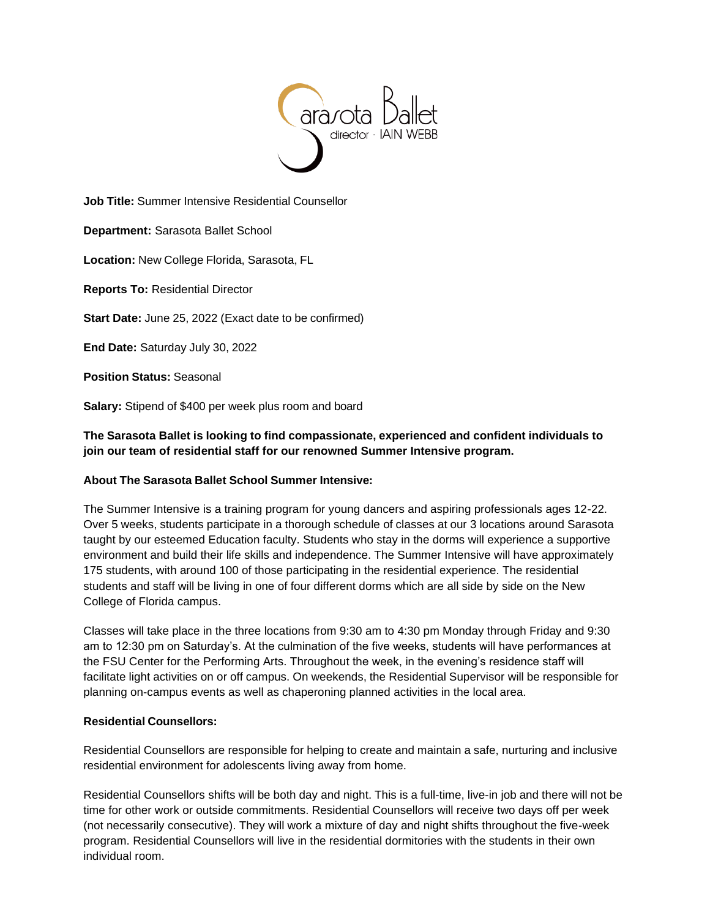

**Job Title:** Summer Intensive Residential Counsellor

**Department:** Sarasota Ballet School

**Location:** New College Florida, Sarasota, FL

**Reports To:** Residential Director

**Start Date:** June 25, 2022 (Exact date to be confirmed)

**End Date:** Saturday July 30, 2022

**Position Status:** Seasonal

**Salary:** Stipend of \$400 per week plus room and board

**The Sarasota Ballet is looking to find compassionate, experienced and confident individuals to join our team of residential staff for our renowned Summer Intensive program.**

### **About The Sarasota Ballet School Summer Intensive:**

The Summer Intensive is a training program for young dancers and aspiring professionals ages 12-22. Over 5 weeks, students participate in a thorough schedule of classes at our 3 locations around Sarasota taught by our esteemed Education faculty. Students who stay in the dorms will experience a supportive environment and build their life skills and independence. The Summer Intensive will have approximately 175 students, with around 100 of those participating in the residential experience. The residential students and staff will be living in one of four different dorms which are all side by side on the New College of Florida campus.

Classes will take place in the three locations from 9:30 am to 4:30 pm Monday through Friday and 9:30 am to 12:30 pm on Saturday's. At the culmination of the five weeks, students will have performances at the FSU Center for the Performing Arts. Throughout the week, in the evening's residence staff will facilitate light activities on or off campus. On weekends, the Residential Supervisor will be responsible for planning on-campus events as well as chaperoning planned activities in the local area.

### **Residential Counsellors:**

Residential Counsellors are responsible for helping to create and maintain a safe, nurturing and inclusive residential environment for adolescents living away from home.

Residential Counsellors shifts will be both day and night. This is a full-time, live-in job and there will not be time for other work or outside commitments. Residential Counsellors will receive two days off per week (not necessarily consecutive). They will work a mixture of day and night shifts throughout the five-week program. Residential Counsellors will live in the residential dormitories with the students in their own individual room.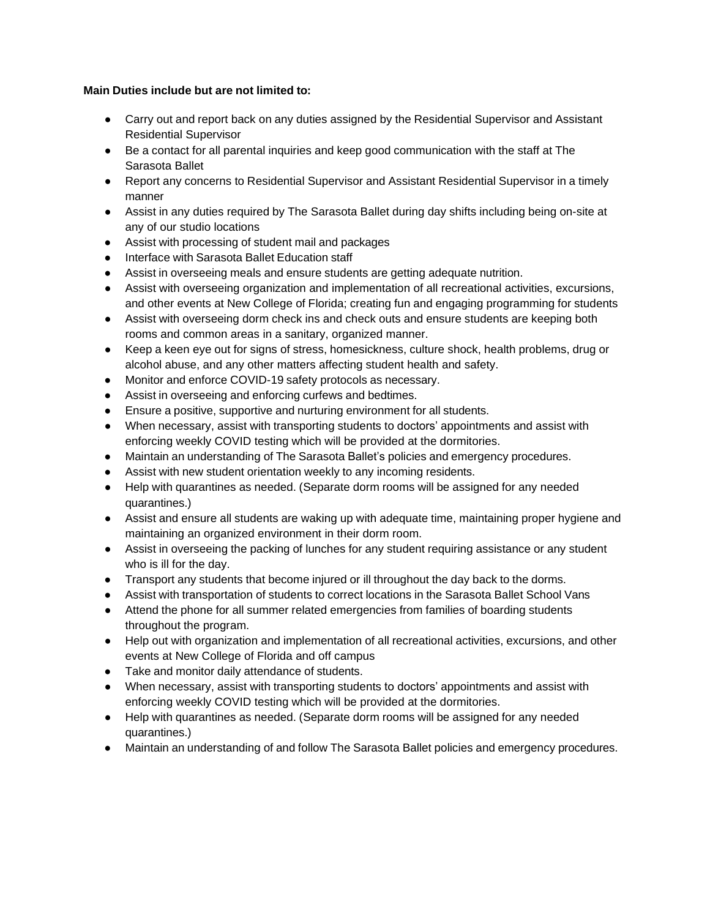# **Main Duties include but are not limited to:**

- Carry out and report back on any duties assigned by the Residential Supervisor and Assistant Residential Supervisor
- Be a contact for all parental inquiries and keep good communication with the staff at The Sarasota Ballet
- Report any concerns to Residential Supervisor and Assistant Residential Supervisor in a timely manner
- Assist in any duties required by The Sarasota Ballet during day shifts including being on-site at any of our studio locations
- Assist with processing of student mail and packages
- Interface with Sarasota Ballet Education staff
- Assist in overseeing meals and ensure students are getting adequate nutrition.
- Assist with overseeing organization and implementation of all recreational activities, excursions, and other events at New College of Florida; creating fun and engaging programming for students
- Assist with overseeing dorm check ins and check outs and ensure students are keeping both rooms and common areas in a sanitary, organized manner.
- Keep a keen eye out for signs of stress, homesickness, culture shock, health problems, drug or alcohol abuse, and any other matters affecting student health and safety.
- Monitor and enforce COVID-19 safety protocols as necessary.
- Assist in overseeing and enforcing curfews and bedtimes.
- Ensure a positive, supportive and nurturing environment for all students.
- When necessary, assist with transporting students to doctors' appointments and assist with enforcing weekly COVID testing which will be provided at the dormitories.
- Maintain an understanding of The Sarasota Ballet's policies and emergency procedures.
- Assist with new student orientation weekly to any incoming residents.
- Help with quarantines as needed. (Separate dorm rooms will be assigned for any needed quarantines.)
- Assist and ensure all students are waking up with adequate time, maintaining proper hygiene and maintaining an organized environment in their dorm room.
- Assist in overseeing the packing of lunches for any student requiring assistance or any student who is ill for the day.
- Transport any students that become injured or ill throughout the day back to the dorms.
- Assist with transportation of students to correct locations in the Sarasota Ballet School Vans
- Attend the phone for all summer related emergencies from families of boarding students throughout the program.
- Help out with organization and implementation of all recreational activities, excursions, and other events at New College of Florida and off campus
- Take and monitor daily attendance of students.
- When necessary, assist with transporting students to doctors' appointments and assist with enforcing weekly COVID testing which will be provided at the dormitories.
- Help with quarantines as needed. (Separate dorm rooms will be assigned for any needed quarantines.)
- Maintain an understanding of and follow The Sarasota Ballet policies and emergency procedures.